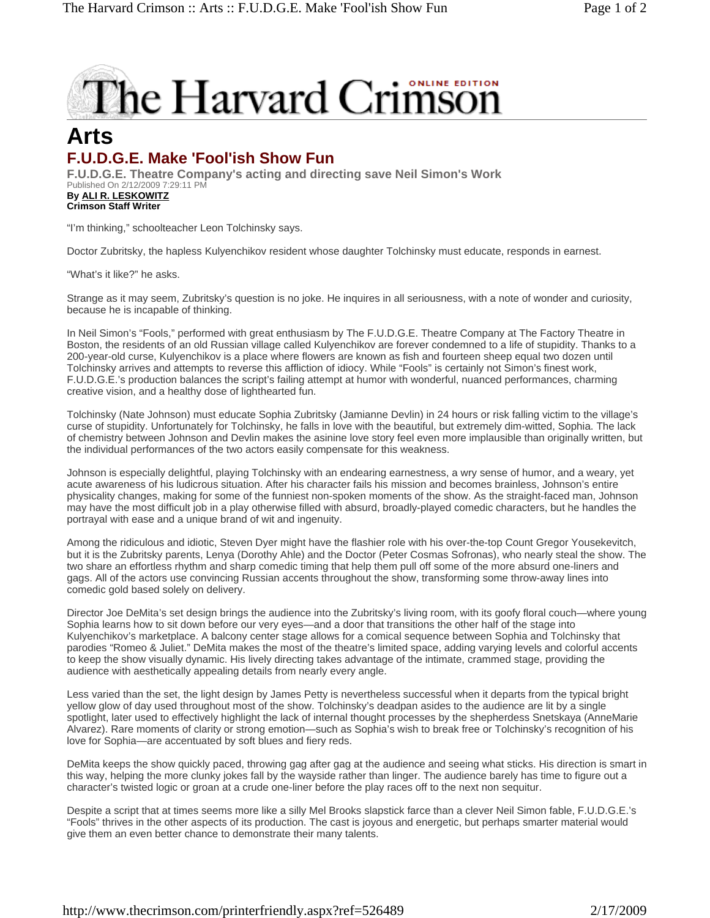## The Harvard Crimson

## **Arts F.U.D.G.E. Make 'Fool'ish Show Fun**

**F.U.D.G.E. Theatre Company's acting and directing save Neil Simon's Work**  Published On 2/12/2009 7:29:11 PM **By ALI R. LESKOWITZ Crimson Staff Writer** 

"I'm thinking," schoolteacher Leon Tolchinsky says.

Doctor Zubritsky, the hapless Kulyenchikov resident whose daughter Tolchinsky must educate, responds in earnest.

"What's it like?" he asks.

Strange as it may seem, Zubritsky's question is no joke. He inquires in all seriousness, with a note of wonder and curiosity, because he is incapable of thinking.

In Neil Simon's "Fools," performed with great enthusiasm by The F.U.D.G.E. Theatre Company at The Factory Theatre in Boston, the residents of an old Russian village called Kulyenchikov are forever condemned to a life of stupidity. Thanks to a 200-year-old curse, Kulyenchikov is a place where flowers are known as fish and fourteen sheep equal two dozen until Tolchinsky arrives and attempts to reverse this affliction of idiocy. While "Fools" is certainly not Simon's finest work, F.U.D.G.E.'s production balances the script's failing attempt at humor with wonderful, nuanced performances, charming creative vision, and a healthy dose of lighthearted fun.

Tolchinsky (Nate Johnson) must educate Sophia Zubritsky (Jamianne Devlin) in 24 hours or risk falling victim to the village's curse of stupidity. Unfortunately for Tolchinsky, he falls in love with the beautiful, but extremely dim-witted, Sophia. The lack of chemistry between Johnson and Devlin makes the asinine love story feel even more implausible than originally written, but the individual performances of the two actors easily compensate for this weakness.

Johnson is especially delightful, playing Tolchinsky with an endearing earnestness, a wry sense of humor, and a weary, yet acute awareness of his ludicrous situation. After his character fails his mission and becomes brainless, Johnson's entire physicality changes, making for some of the funniest non-spoken moments of the show. As the straight-faced man, Johnson may have the most difficult job in a play otherwise filled with absurd, broadly-played comedic characters, but he handles the portrayal with ease and a unique brand of wit and ingenuity.

Among the ridiculous and idiotic, Steven Dyer might have the flashier role with his over-the-top Count Gregor Yousekevitch, but it is the Zubritsky parents, Lenya (Dorothy Ahle) and the Doctor (Peter Cosmas Sofronas), who nearly steal the show. The two share an effortless rhythm and sharp comedic timing that help them pull off some of the more absurd one-liners and gags. All of the actors use convincing Russian accents throughout the show, transforming some throw-away lines into comedic gold based solely on delivery.

Director Joe DeMita's set design brings the audience into the Zubritsky's living room, with its goofy floral couch—where young Sophia learns how to sit down before our very eyes—and a door that transitions the other half of the stage into Kulyenchikov's marketplace. A balcony center stage allows for a comical sequence between Sophia and Tolchinsky that parodies "Romeo & Juliet." DeMita makes the most of the theatre's limited space, adding varying levels and colorful accents to keep the show visually dynamic. His lively directing takes advantage of the intimate, crammed stage, providing the audience with aesthetically appealing details from nearly every angle.

Less varied than the set, the light design by James Petty is nevertheless successful when it departs from the typical bright yellow glow of day used throughout most of the show. Tolchinsky's deadpan asides to the audience are lit by a single spotlight, later used to effectively highlight the lack of internal thought processes by the shepherdess Snetskaya (AnneMarie Alvarez). Rare moments of clarity or strong emotion—such as Sophia's wish to break free or Tolchinsky's recognition of his love for Sophia—are accentuated by soft blues and fiery reds.

DeMita keeps the show quickly paced, throwing gag after gag at the audience and seeing what sticks. His direction is smart in this way, helping the more clunky jokes fall by the wayside rather than linger. The audience barely has time to figure out a character's twisted logic or groan at a crude one-liner before the play races off to the next non sequitur.

Despite a script that at times seems more like a silly Mel Brooks slapstick farce than a clever Neil Simon fable, F.U.D.G.E.'s "Fools" thrives in the other aspects of its production. The cast is joyous and energetic, but perhaps smarter material would give them an even better chance to demonstrate their many talents.